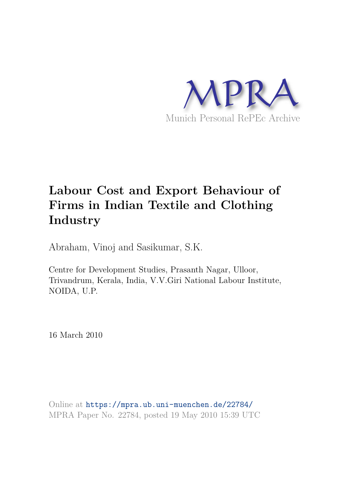

# **Labour Cost and Export Behaviour of Firms in Indian Textile and Clothing Industry**

Abraham, Vinoj and Sasikumar, S.K.

Centre for Development Studies, Prasanth Nagar, Ulloor, Trivandrum, Kerala, India, V.V.Giri National Labour Institute, NOIDA, U.P.

16 March 2010

Online at https://mpra.ub.uni-muenchen.de/22784/ MPRA Paper No. 22784, posted 19 May 2010 15:39 UTC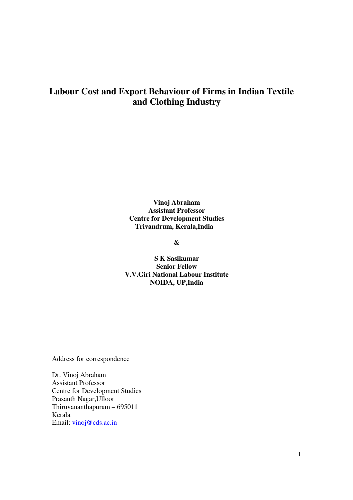# **Labour Cost and Export Behaviour of Firms in Indian Textile and Clothing Industry**

**Vinoj Abraham Assistant Professor Centre for Development Studies Trivandrum, Kerala,India** 

**&** 

**S K Sasikumar Senior Fellow V.V.Giri National Labour Institute NOIDA, UP,India** 

Address for correspondence

Dr. Vinoj Abraham Assistant Professor Centre for Development Studies Prasanth Nagar,Ulloor Thiruvananthapuram – 695011 Kerala Email: vinoj@cds.ac.in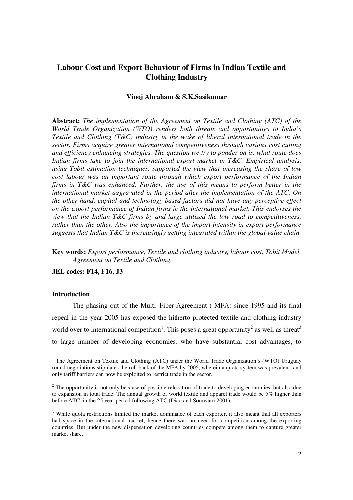# **Labour Cost and Export Behaviour of Firms in Indian Textile and Clothing Industry**

#### **Vinoj Abraham & S.K.Sasikumar**

**Abstract:** *The implementation of the Agreement on Textile and Clothing (ATC) of the World Trade Organization (WTO) renders both threats and opportunities to India's Textile and Clothing (T&C) industry in the wake of liberal international trade in the sector. Firms acquire greater international competitiveness through various cost cutting and efficiency enhancing strategies. The question we try to ponder on is, what route does Indian firms take to join the international export market in T&C. Empirical analysis, using Tobit estimation techniques, supported the view that increasing the share of low cost labour was an important route through which export performance of the Indian firms in T&C was enhanced. Further, the use of this means to perform better in the international market aggravated in the period after the implementation of the ATC. On the other hand, capital and technology based factors did not have any perceptive effect on the export performance of Indian firms in the international market. This endorses the view that the Indian T&C firms by and large utilized the low road to competitiveness, rather than the other. Also the importance of the import intensity in export performance suggests that Indian T&C is increasingly getting integrated within the global value chain.* 

**Key words:** *Export performance, Textile and clothing industry, labour cost, Tobit Model, Agreement on Textile and Clothing.* 

**JEL codes: F14, F16, J3** 

#### **Introduction**

-

The phasing out of the Multi–Fiber Agreement ( MFA) since 1995 and its final repeal in the year 2005 has exposed the hitherto protected textile and clothing industry world over to international competition<sup>1</sup>. This poses a great opportunity<sup>2</sup> as well as threat<sup>3</sup> to large number of developing economies, who have substantial cost advantages, to

<sup>&</sup>lt;sup>1</sup> The Agreement on Textile and Clothing (ATC) under the World Trade Organization's (WTO) Uruguay round negotiations stipulates the roll back of the MFA by 2005, wherein a quota system was prevalent, and only tariff barriers can now be exploited to restrict trade in the sector.

 $2^{2}$  The opportunity is not only because of possible relocation of trade to developing economies, but also due to expansion in total trade. The annual growth of world textile and apparel trade would be 5% higher than before ATC in the 25 year period following ATC (Diao and Somwaru 2001)

<sup>&</sup>lt;sup>3</sup> While quota restrictions limited the market dominance of each exporter, it also meant that all exporters had space in the international market; hence there was no need for competition among the exporting countries. But under the new dispensation developing countries compete among them to capture greater market share.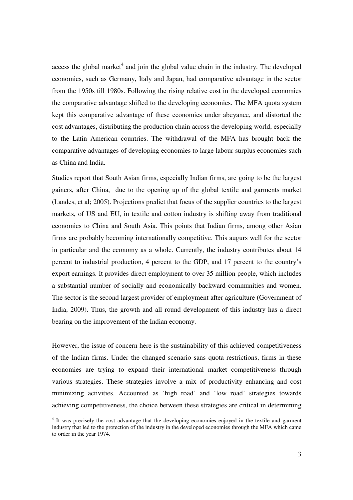access the global market<sup>4</sup> and join the global value chain in the industry. The developed economies, such as Germany, Italy and Japan, had comparative advantage in the sector from the 1950s till 1980s. Following the rising relative cost in the developed economies the comparative advantage shifted to the developing economies. The MFA quota system kept this comparative advantage of these economies under abeyance, and distorted the cost advantages, distributing the production chain across the developing world, especially to the Latin American countries. The withdrawal of the MFA has brought back the comparative advantages of developing economies to large labour surplus economies such as China and India.

Studies report that South Asian firms, especially Indian firms, are going to be the largest gainers, after China, due to the opening up of the global textile and garments market (Landes, et al; 2005). Projections predict that focus of the supplier countries to the largest markets, of US and EU, in textile and cotton industry is shifting away from traditional economies to China and South Asia. This points that Indian firms, among other Asian firms are probably becoming internationally competitive. This augurs well for the sector in particular and the economy as a whole. Currently, the industry contributes about 14 percent to industrial production, 4 percent to the GDP, and 17 percent to the country's export earnings. It provides direct employment to over 35 million people, which includes a substantial number of socially and economically backward communities and women. The sector is the second largest provider of employment after agriculture (Government of India, 2009). Thus, the growth and all round development of this industry has a direct bearing on the improvement of the Indian economy.

However, the issue of concern here is the sustainability of this achieved competitiveness of the Indian firms. Under the changed scenario sans quota restrictions, firms in these economies are trying to expand their international market competitiveness through various strategies. These strategies involve a mix of productivity enhancing and cost minimizing activities. Accounted as 'high road' and 'low road' strategies towards achieving competitiveness, the choice between these strategies are critical in determining

<sup>&</sup>lt;sup>4</sup> It was precisely the cost advantage that the developing economies enjoyed in the textile and garment industry that led to the protection of the industry in the developed economies through the MFA which came to order in the year 1974.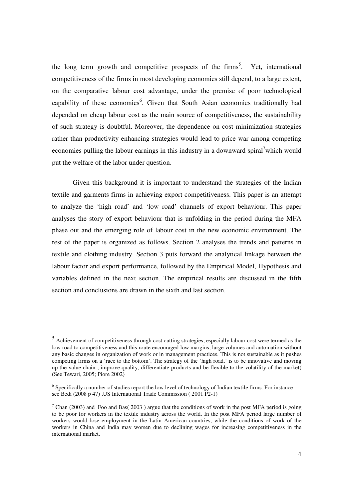the long term growth and competitive prospects of the firms<sup>5</sup>. Yet, international competitiveness of the firms in most developing economies still depend, to a large extent, on the comparative labour cost advantage, under the premise of poor technological capability of these economies<sup>6</sup>. Given that South Asian economies traditionally had depended on cheap labour cost as the main source of competitiveness, the sustainability of such strategy is doubtful. Moreover, the dependence on cost minimization strategies rather than productivity enhancing strategies would lead to price war among competing economies pulling the labour earnings in this industry in a downward spiral<sup>7</sup>which would put the welfare of the labor under question.

Given this background it is important to understand the strategies of the Indian textile and garments firms in achieving export competitiveness. This paper is an attempt to analyze the 'high road' and 'low road' channels of export behaviour. This paper analyses the story of export behaviour that is unfolding in the period during the MFA phase out and the emerging role of labour cost in the new economic environment. The rest of the paper is organized as follows. Section 2 analyses the trends and patterns in textile and clothing industry. Section 3 puts forward the analytical linkage between the labour factor and export performance, followed by the Empirical Model, Hypothesis and variables defined in the next section. The empirical results are discussed in the fifth section and conclusions are drawn in the sixth and last section.

-

<sup>&</sup>lt;sup>5</sup> Achievement of competitiveness through cost cutting strategies, especially labour cost were termed as the low road to competitiveness and this route encouraged low margins, large volumes and automation without any basic changes in organization of work or in management practices. This is not sustainable as it pushes competing firms on a 'race to the bottom'. The strategy of the 'high road,' is to be innovative and moving up the value chain , improve quality, differentiate products and be flexible to the volatility of the market( (See Tewari, 2005; Piore 2002)

<sup>&</sup>lt;sup>6</sup> Specifically a number of studies report the low level of technology of Indian textile firms. For instance see Bedi (2008 p 47) ,US International Trade Commission ( 2001 P2-1)

<sup>&</sup>lt;sup>7</sup> Chan (2003) and Foo and Bas( 2003) argue that the conditions of work in the post MFA period is going to be poor for workers in the textile industry across the world. In the post MFA period large number of workers would lose employment in the Latin American countries, while the conditions of work of the workers in China and India may worsen due to declining wages for increasing competitiveness in the international market.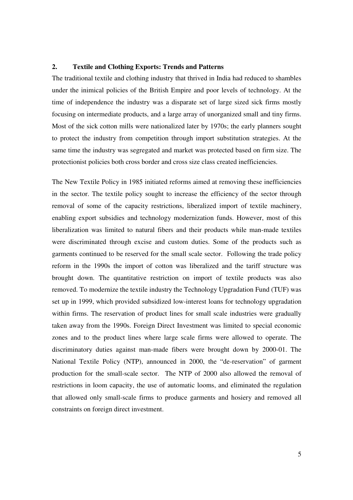# **2. Textile and Clothing Exports: Trends and Patterns**

The traditional textile and clothing industry that thrived in India had reduced to shambles under the inimical policies of the British Empire and poor levels of technology. At the time of independence the industry was a disparate set of large sized sick firms mostly focusing on intermediate products, and a large array of unorganized small and tiny firms. Most of the sick cotton mills were nationalized later by 1970s; the early planners sought to protect the industry from competition through import substitution strategies. At the same time the industry was segregated and market was protected based on firm size. The protectionist policies both cross border and cross size class created inefficiencies.

The New Textile Policy in 1985 initiated reforms aimed at removing these inefficiencies in the sector. The textile policy sought to increase the efficiency of the sector through removal of some of the capacity restrictions, liberalized import of textile machinery, enabling export subsidies and technology modernization funds. However, most of this liberalization was limited to natural fibers and their products while man-made textiles were discriminated through excise and custom duties. Some of the products such as garments continued to be reserved for the small scale sector. Following the trade policy reform in the 1990s the import of cotton was liberalized and the tariff structure was brought down. The quantitative restriction on import of textile products was also removed. To modernize the textile industry the Technology Upgradation Fund (TUF) was set up in 1999, which provided subsidized low-interest loans for technology upgradation within firms. The reservation of product lines for small scale industries were gradually taken away from the 1990s. Foreign Direct Investment was limited to special economic zones and to the product lines where large scale firms were allowed to operate. The discriminatory duties against man-made fibers were brought down by 2000-01. The National Textile Policy (NTP), announced in 2000, the "de-reservation" of garment production for the small-scale sector. The NTP of 2000 also allowed the removal of restrictions in loom capacity, the use of automatic looms, and eliminated the regulation that allowed only small-scale firms to produce garments and hosiery and removed all constraints on foreign direct investment.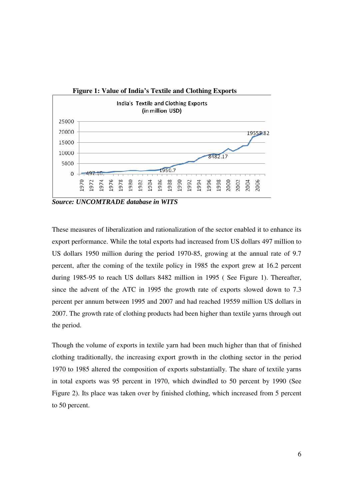

*Source: UNCOMTRADE database in WITS* 

These measures of liberalization and rationalization of the sector enabled it to enhance its export performance. While the total exports had increased from US dollars 497 million to US dollars 1950 million during the period 1970-85, growing at the annual rate of 9.7 percent, after the coming of the textile policy in 1985 the export grew at 16.2 percent during 1985-95 to reach US dollars 8482 million in 1995 ( See Figure 1). Thereafter, since the advent of the ATC in 1995 the growth rate of exports slowed down to 7.3 percent per annum between 1995 and 2007 and had reached 19559 million US dollars in 2007. The growth rate of clothing products had been higher than textile yarns through out the period.

Though the volume of exports in textile yarn had been much higher than that of finished clothing traditionally, the increasing export growth in the clothing sector in the period 1970 to 1985 altered the composition of exports substantially. The share of textile yarns in total exports was 95 percent in 1970, which dwindled to 50 percent by 1990 (See Figure 2). Its place was taken over by finished clothing, which increased from 5 percent to 50 percent.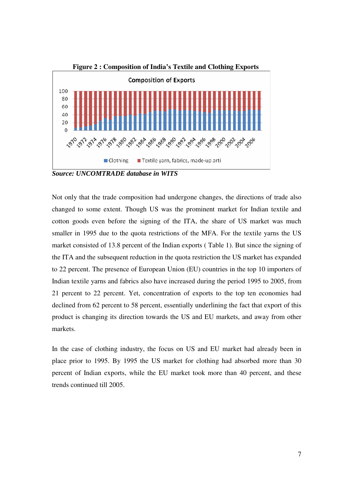

*Source: UNCOMTRADE database in WITS* 

Not only that the trade composition had undergone changes, the directions of trade also changed to some extent. Though US was the prominent market for Indian textile and cotton goods even before the signing of the ITA, the share of US market was much smaller in 1995 due to the quota restrictions of the MFA. For the textile yarns the US market consisted of 13.8 percent of the Indian exports ( Table 1). But since the signing of the ITA and the subsequent reduction in the quota restriction the US market has expanded to 22 percent. The presence of European Union (EU) countries in the top 10 importers of Indian textile yarns and fabrics also have increased during the period 1995 to 2005, from 21 percent to 22 percent. Yet, concentration of exports to the top ten economies had declined from 62 percent to 58 percent, essentially underlining the fact that export of this product is changing its direction towards the US and EU markets, and away from other markets.

In the case of clothing industry, the focus on US and EU market had already been in place prior to 1995. By 1995 the US market for clothing had absorbed more than 30 percent of Indian exports, while the EU market took more than 40 percent, and these trends continued till 2005.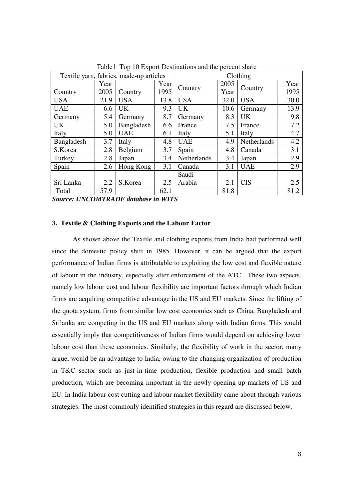| Textile yarn, fabrics, made-up articles |      |            | Clothing |             |      |             |      |
|-----------------------------------------|------|------------|----------|-------------|------|-------------|------|
|                                         | Year |            | Year     | Country     | 2005 | Country     | Year |
| Country                                 | 2005 | Country    | 1995     |             | Year |             | 1995 |
| <b>USA</b>                              | 21.9 | <b>USA</b> | 13.8     | <b>USA</b>  | 32.0 | <b>USA</b>  | 30.0 |
| <b>UAE</b>                              | 6.6  | UK.        | 9.3      | <b>UK</b>   | 10.6 | Germany     | 13.9 |
| Germany                                 | 5.4  | Germany    | 8.7      | Germany     | 8.3  | <b>UK</b>   | 9.8  |
| UK.                                     | 5.0  | Bangladesh | 6.6      | France      | 7.5  | France      | 7.2  |
| Italy                                   | 5.0  | <b>UAE</b> | 6.1      | Italy       | 5.1  | Italy       | 4.7  |
| Bangladesh                              | 3.7  | Italy      | 4.8      | <b>UAE</b>  | 4.9  | Netherlands | 4.2  |
| S.Korea                                 | 2.8  | Belgium    | 3.7      | Spain       | 4.8  | Canada      | 3.1  |
| Turkey                                  | 2.8  | Japan      | 3.4      | Netherlands | 3.4  | Japan       | 2.9  |
| Spain                                   | 2.6  | Hong Kong  | 3.1      | Canada      | 3.1  | <b>UAE</b>  | 2.9  |
|                                         |      |            |          | Saudi       |      |             |      |
| Sri Lanka                               | 2.2  | S.Korea    | 2.5      | Arabia      | 2.1  | <b>CIS</b>  | 2.5  |
| Total                                   | 57.9 |            | 62.1     |             | 81.8 |             | 81.2 |

Table1 Top 10 Export Destinations and the percent share

*Source: UNCOMTRADE database in WITS* 

#### **3. Textile & Clothing Exports and the Labour Factor**

As shown above the Textile and clothing exports from India had performed well since the domestic policy shift in 1985. However, it can be argued that the export performance of Indian firms is attributable to exploiting the low cost and flexible nature of labour in the industry, especially after enforcement of the ATC. These two aspects, namely low labour cost and labour flexibility are important factors through which Indian firms are acquiring competitive advantage in the US and EU markets. Since the lifting of the quota system, firms from similar low cost economies such as China, Bangladesh and Srilanka are competing in the US and EU markets along with Indian firms. This would essentially imply that competitiveness of Indian firms would depend on achieving lower labour cost than these economies. Similarly, the flexibility of work in the sector, many argue, would be an advantage to India, owing to the changing organization of production in T&C sector such as just-in-time production, flexible production and small batch production, which are becoming important in the newly opening up markets of US and EU. In India labour cost cutting and labour market flexibility came about through various strategies. The most commonly identified strategies in this regard are discussed below.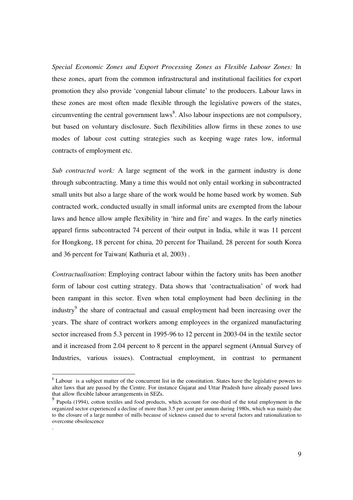*Special Economic Zones and Export Processing Zones as Flexible Labour Zones:* In these zones, apart from the common infrastructural and institutional facilities for export promotion they also provide 'congenial labour climate' to the producers. Labour laws in these zones are most often made flexible through the legislative powers of the states, circumventing the central government laws<sup>8</sup>. Also labour inspections are not compulsory, but based on voluntary disclosure. Such flexibilities allow firms in these zones to use modes of labour cost cutting strategies such as keeping wage rates low, informal contracts of employment etc.

*Sub contracted work:* A large segment of the work in the garment industry is done through subcontracting. Many a time this would not only entail working in subcontracted small units but also a large share of the work would be home based work by women. Sub contracted work, conducted usually in small informal units are exempted from the labour laws and hence allow ample flexibility in 'hire and fire' and wages. In the early nineties apparel firms subcontracted 74 percent of their output in India, while it was 11 percent for Hongkong, 18 percent for china, 20 percent for Thailand, 28 percent for south Korea and 36 percent for Taiwan( Kathuria et al, 2003) .

*Contractualisation*: Employing contract labour within the factory units has been another form of labour cost cutting strategy. Data shows that 'contractualisation' of work had been rampant in this sector. Even when total employment had been declining in the industry<sup>9</sup> the share of contractual and casual employment had been increasing over the years. The share of contract workers among employees in the organized manufacturing sector increased from 5.3 percent in 1995-96 to 12 percent in 2003-04 in the textile sector and it increased from 2.04 percent to 8 percent in the apparel segment (Annual Survey of Industries, various issues). Contractual employment, in contrast to permanent

 $\overline{a}$ 

.

<sup>&</sup>lt;sup>8</sup> Labour is a subject matter of the concurrent list in the constitution. States have the legislative powers to alter laws that are passed by the Centre. For instance Gujarat and Uttar Pradesh have already passed laws that allow flexible labour arrangements in SEZs.

<sup>&</sup>lt;sup>9</sup> Papola (1994), cotton textiles and food products, which account for one-third of the total employment in the organized sector experienced a decline of more than 3.5 per cent per annum during 1980s, which was mainly due to the closure of a large number of mills because of sickness caused due to several factors and rationalization to overcome obsolescence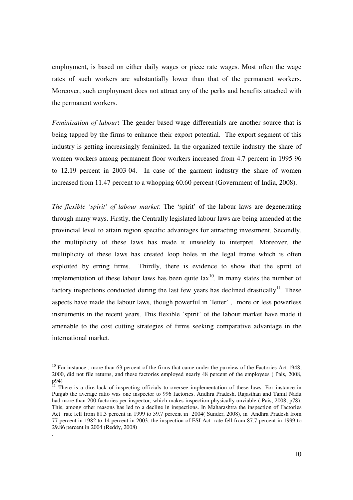employment, is based on either daily wages or piece rate wages. Most often the wage rates of such workers are substantially lower than that of the permanent workers. Moreover, such employment does not attract any of the perks and benefits attached with the permanent workers.

*Feminization of labour***:** The gender based wage differentials are another source that is being tapped by the firms to enhance their export potential. The export segment of this industry is getting increasingly feminized. In the organized textile industry the share of women workers among permanent floor workers increased from 4.7 percent in 1995-96 to 12.19 percent in 2003-04. In case of the garment industry the share of women increased from 11.47 percent to a whopping 60.60 percent (Government of India, 2008).

*The flexible 'spirit' of labour market*: The 'spirit' of the labour laws are degenerating through many ways. Firstly, the Centrally legislated labour laws are being amended at the provincial level to attain region specific advantages for attracting investment. Secondly, the multiplicity of these laws has made it unwieldy to interpret. Moreover, the multiplicity of these laws has created loop holes in the legal frame which is often exploited by erring firms. Thirdly, there is evidence to show that the spirit of implementation of these labour laws has been quite  $lax^{10}$ . In many states the number of factory inspections conducted during the last few years has declined drastically<sup>11</sup>. These aspects have made the labour laws, though powerful in 'letter' , more or less powerless instruments in the recent years. This flexible 'spirit' of the labour market have made it amenable to the cost cutting strategies of firms seeking comparative advantage in the international market.

-

.

 $10$  For instance, more than 63 percent of the firms that came under the purview of the Factories Act 1948, 2000, did not file returns, and these factories employed nearly 48 percent of the employees ( Pais, 2008, p94)

<sup>&</sup>lt;sup>11</sup> There is a dire lack of inspecting officials to oversee implementation of these laws. For instance in Punjab the average ratio was one inspector to 996 factories. Andhra Pradesh, Rajasthan and Tamil Nadu had more than 200 factories per inspector, which makes inspection physically unviable (Pais, 2008, p78). This, among other reasons has led to a decline in inspections. In Maharashtra the inspection of Factories Act rate fell from 81.3 percent in 1999 to 59.7 percent in 2004( Sunder, 2008), in Andhra Pradesh from 77 percent in 1982 to 14 percent in 2003; the inspection of ESI Act rate fell from 87.7 percent in 1999 to 29.86 percent in 2004 (Reddy, 2008)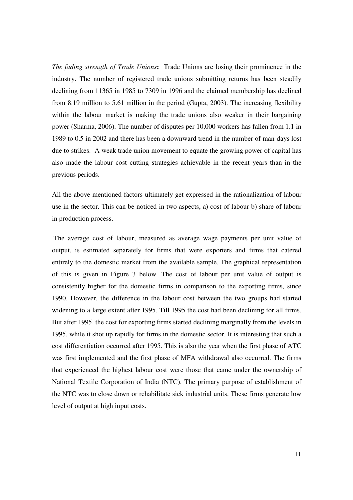*The fading strength of Trade Unions***:** Trade Unions are losing their prominence in the industry. The number of registered trade unions submitting returns has been steadily declining from 11365 in 1985 to 7309 in 1996 and the claimed membership has declined from 8.19 million to 5.61 million in the period (Gupta, 2003). The increasing flexibility within the labour market is making the trade unions also weaker in their bargaining power (Sharma, 2006). The number of disputes per 10,000 workers has fallen from 1.1 in 1989 to 0.5 in 2002 and there has been a downward trend in the number of man-days lost due to strikes. A weak trade union movement to equate the growing power of capital has also made the labour cost cutting strategies achievable in the recent years than in the previous periods.

All the above mentioned factors ultimately get expressed in the rationalization of labour use in the sector. This can be noticed in two aspects, a) cost of labour b) share of labour in production process.

 The average cost of labour, measured as average wage payments per unit value of output, is estimated separately for firms that were exporters and firms that catered entirely to the domestic market from the available sample. The graphical representation of this is given in Figure 3 below. The cost of labour per unit value of output is consistently higher for the domestic firms in comparison to the exporting firms, since 1990. However, the difference in the labour cost between the two groups had started widening to a large extent after 1995. Till 1995 the cost had been declining for all firms. But after 1995, the cost for exporting firms started declining marginally from the levels in 1995, while it shot up rapidly for firms in the domestic sector. It is interesting that such a cost differentiation occurred after 1995. This is also the year when the first phase of ATC was first implemented and the first phase of MFA withdrawal also occurred. The firms that experienced the highest labour cost were those that came under the ownership of National Textile Corporation of India (NTC). The primary purpose of establishment of the NTC was to close down or rehabilitate sick industrial units. These firms generate low level of output at high input costs.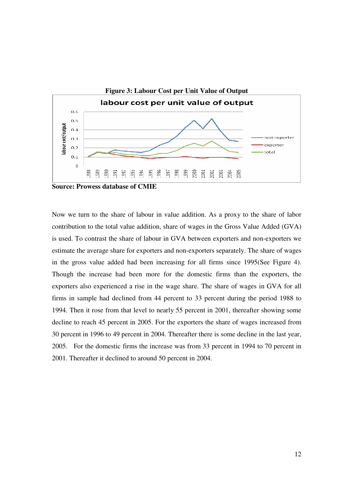

Now we turn to the share of labour in value addition. As a proxy to the share of labor contribution to the total value addition, share of wages in the Gross Value Added (GVA) is used. To contrast the share of labour in GVA between exporters and non-exporters we estimate the average share for exporters and non-exporters separately. The share of wages in the gross value added had been increasing for all firms since 1995(See Figure 4). Though the increase had been more for the domestic firms than the exporters, the exporters also experienced a rise in the wage share. The share of wages in GVA for all firms in sample had declined from 44 percent to 33 percent during the period 1988 to 1994. Then it rose from that level to nearly 55 percent in 2001, thereafter showing some decline to reach 45 percent in 2005. For the exporters the share of wages increased from 30 percent in 1996 to 49 percent in 2004. Thereafter there is some decline in the last year, 2005. For the domestic firms the increase was from 33 percent in 1994 to 70 percent in 2001. Thereafter it declined to around 50 percent in 2004.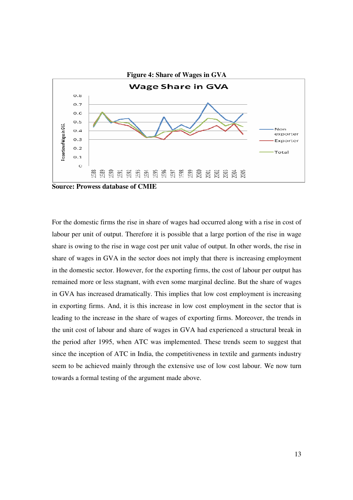

For the domestic firms the rise in share of wages had occurred along with a rise in cost of labour per unit of output. Therefore it is possible that a large portion of the rise in wage share is owing to the rise in wage cost per unit value of output. In other words, the rise in share of wages in GVA in the sector does not imply that there is increasing employment in the domestic sector. However, for the exporting firms, the cost of labour per output has remained more or less stagnant, with even some marginal decline. But the share of wages in GVA has increased dramatically. This implies that low cost employment is increasing in exporting firms. And, it is this increase in low cost employment in the sector that is leading to the increase in the share of wages of exporting firms. Moreover, the trends in the unit cost of labour and share of wages in GVA had experienced a structural break in the period after 1995, when ATC was implemented. These trends seem to suggest that since the inception of ATC in India, the competitiveness in textile and garments industry seem to be achieved mainly through the extensive use of low cost labour. We now turn towards a formal testing of the argument made above.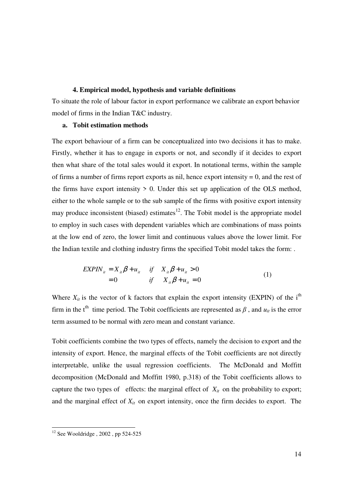#### **4. Empirical model, hypothesis and variable definitions**

To situate the role of labour factor in export performance we calibrate an export behavior model of firms in the Indian T&C industry.

#### **a. Tobit estimation methods**

The export behaviour of a firm can be conceptualized into two decisions it has to make. Firstly, whether it has to engage in exports or not, and secondly if it decides to export then what share of the total sales would it export. In notational terms, within the sample of firms a number of firms report exports as nil, hence export intensity  $= 0$ , and the rest of the firms have export intensity  $> 0$ . Under this set up application of the OLS method, either to the whole sample or to the sub sample of the firms with positive export intensity may produce inconsistent (biased) estimates $12$ . The Tobit model is the appropriate model to employ in such cases with dependent variables which are combinations of mass points at the low end of zero, the lower limit and continuous values above the lower limit. For the Indian textile and clothing industry firms the specified Tobit model takes the form: .

$$
EXPINit = Xit \beta + uit \t\t if \t Xit \beta + uit > 0= 0 \t\t if \t Xit \beta + uit = 0
$$
\t(1)

Where  $X_{it}$  is the vector of k factors that explain the export intensity (EXPIN) of the i<sup>th</sup> firm in the t<sup>th</sup> time period. The Tobit coefficients are represented as  $\beta$ , and  $u_{it}$  is the error term assumed to be normal with zero mean and constant variance.

Tobit coefficients combine the two types of effects, namely the decision to export and the intensity of export. Hence, the marginal effects of the Tobit coefficients are not directly interpretable, unlike the usual regression coefficients. The McDonald and Moffitt decomposition (McDonald and Moffitt 1980, p.318) of the Tobit coefficients allows to capture the two types of effects: the marginal effect of  $X_{it}$  on the probability to export; and the marginal effect of  $X_{it}$  on export intensity, once the firm decides to export. The

-

 $12$  See Wooldridge, 2002, pp 524-525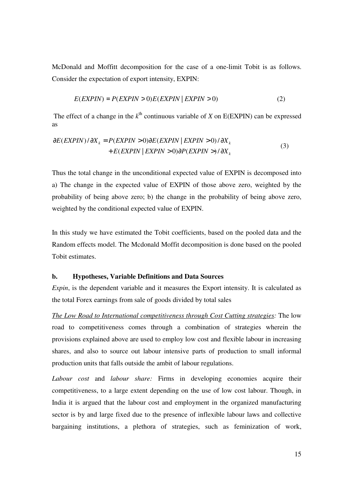McDonald and Moffitt decomposition for the case of a one-limit Tobit is as follows. Consider the expectation of export intensity, EXPIN:

$$
E(EXPIN) = P(EXPIN > 0)E(EXPIN | EXPIN > 0)
$$
\n<sup>(2)</sup>

The effect of a change in the  $k^{\text{th}}$  continuous variable of *X* on E(EXPIN) can be expressed as

$$
\frac{\partial E(EXPIN) / \partial X_k}{\partial E(EXPIN)} = P(EXPIN > 0) \frac{\partial E(EXPIN \mid EXPIN > 0)}{\partial P(EXPIN \mid EXPIN > 0)} \frac{\partial X_k}{\partial X_k} \tag{3}
$$

Thus the total change in the unconditional expected value of EXPIN is decomposed into a) The change in the expected value of EXPIN of those above zero, weighted by the probability of being above zero; b) the change in the probability of being above zero, weighted by the conditional expected value of EXPIN.

In this study we have estimated the Tobit coefficients, based on the pooled data and the Random effects model. The Mcdonald Moffit decomposition is done based on the pooled Tobit estimates.

# **b. Hypotheses, Variable Definitions and Data Sources**

*Expin*, is the dependent variable and it measures the Export intensity. It is calculated as the total Forex earnings from sale of goods divided by total sales

*The Low Road to International competitiveness through Cost Cutting strategies:* The low road to competitiveness comes through a combination of strategies wherein the provisions explained above are used to employ low cost and flexible labour in increasing shares, and also to source out labour intensive parts of production to small informal production units that falls outside the ambit of labour regulations.

*Labour cost* and *labour share:* Firms in developing economies acquire their competitiveness, to a large extent depending on the use of low cost labour. Though, in India it is argued that the labour cost and employment in the organized manufacturing sector is by and large fixed due to the presence of inflexible labour laws and collective bargaining institutions, a plethora of strategies, such as feminization of work,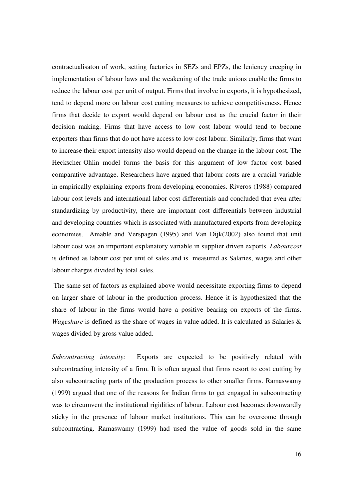contractualisaton of work, setting factories in SEZs and EPZs, the leniency creeping in implementation of labour laws and the weakening of the trade unions enable the firms to reduce the labour cost per unit of output. Firms that involve in exports, it is hypothesized, tend to depend more on labour cost cutting measures to achieve competitiveness. Hence firms that decide to export would depend on labour cost as the crucial factor in their decision making. Firms that have access to low cost labour would tend to become exporters than firms that do not have access to low cost labour. Similarly, firms that want to increase their export intensity also would depend on the change in the labour cost. The Heckscher-Ohlin model forms the basis for this argument of low factor cost based comparative advantage. Researchers have argued that labour costs are a crucial variable in empirically explaining exports from developing economies. Riveros (1988) compared labour cost levels and international labor cost differentials and concluded that even after standardizing by productivity, there are important cost differentials between industrial and developing countries which is associated with manufactured exports from developing economies. Amable and Verspagen (1995) and Van Dijk(2002) also found that unit labour cost was an important explanatory variable in supplier driven exports. *Labourcost*  is defined as labour cost per unit of sales and is measured as Salaries, wages and other labour charges divided by total sales.

The same set of factors as explained above would necessitate exporting firms to depend on larger share of labour in the production process. Hence it is hypothesized that the share of labour in the firms would have a positive bearing on exports of the firms. *Wageshare* is defined as the share of wages in value added. It is calculated as Salaries & wages divided by gross value added.

*Subcontracting intensity:* Exports are expected to be positively related with subcontracting intensity of a firm. It is often argued that firms resort to cost cutting by also subcontracting parts of the production process to other smaller firms. Ramaswamy (1999) argued that one of the reasons for Indian firms to get engaged in subcontracting was to circumvent the institutional rigidities of labour. Labour cost becomes downwardly sticky in the presence of labour market institutions. This can be overcome through subcontracting. Ramaswamy (1999) had used the value of goods sold in the same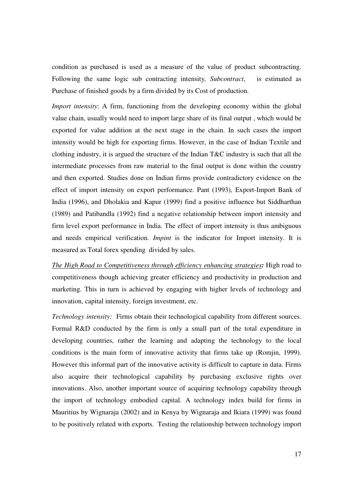condition as purchased is used as a measure of the value of product subcontracting. Following the same logic sub contracting intensity*, Subcontract*, is estimated as Purchase of finished goods by a firm divided by its Cost of production.

*Import intensity*: A firm, functioning from the developing economy within the global value chain, usually would need to import large share of its final output , which would be exported for value addition at the next stage in the chain. In such cases the import intensity would be high for exporting firms. However, in the case of Indian Textile and clothing industry, it is argued the structure of the Indian T&C industry is such that all the intermediate processes from raw material to the final output is done within the country and then exported. Studies done on Indian firms provide contradictory evidence on the effect of import intensity on export performance. Pant (1993), Export-Import Bank of India (1996), and Dholakia and Kapur (1999) find a positive influence but Siddharthan (1989) and Patibandla (1992) find a negative relationship between import intensity and firm level export performance in India. The effect of import intensity is thus ambiguous and needs empirical verification. *Impint* is the indicator for Import intensity. It is measured as Total forex spending divided by sales.

*The High Road to Competitiveness through efficiency enhancing strategies:* High road to competitiveness though achieving greater efficiency and productivity in production and marketing. This in turn is achieved by engaging with higher levels of technology and innovation, capital intensity, foreign investment, etc.

*Technology intensity:* Firms obtain their technological capability from different sources. Formal R&D conducted by the firm is only a small part of the total expenditure in developing countries, rather the learning and adapting the technology to the local conditions is the main form of innovative activity that firms take up (Romjin, 1999). However this informal part of the innovative activity is difficult to capture in data. Firms also acquire their technological capability by purchasing exclusive rights over innovations. Also, another important source of acquiring technology capability through the import of technology embodied capital. A technology index build for firms in Mauritius by Wignaraja (2002) and in Kenya by Wignaraja and Ikiara (1999) was found to be positively related with exports. Testing the relationship between technology import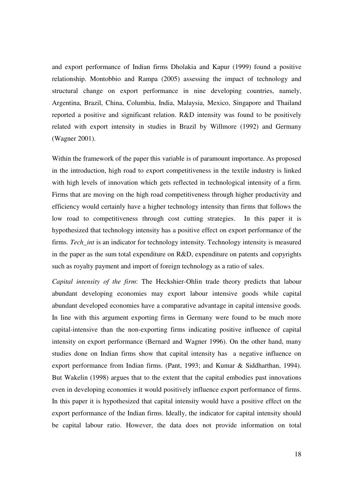and export performance of Indian firms Dholakia and Kapur (1999) found a positive relationship. Montobbio and Rampa (2005) assessing the impact of technology and structural change on export performance in nine developing countries, namely, Argentina, Brazil, China, Columbia, India, Malaysia, Mexico, Singapore and Thailand reported a positive and significant relation. R&D intensity was found to be positively related with export intensity in studies in Brazil by Willmore (1992) and Germany (Wagner 2001).

Within the framework of the paper this variable is of paramount importance. As proposed in the introduction, high road to export competitiveness in the textile industry is linked with high levels of innovation which gets reflected in technological intensity of a firm. Firms that are moving on the high road competitiveness through higher productivity and efficiency would certainly have a higher technology intensity than firms that follows the low road to competitiveness through cost cutting strategies. In this paper it is hypothesized that technology intensity has a positive effect on export performance of the firms. *Tech\_int* is an indicator for technology intensity. Technology intensity is measured in the paper as the sum total expenditure on R&D, expenditure on patents and copyrights such as royalty payment and import of foreign technology as a ratio of sales.

*Capital intensity of the firm*: The Heckshier-Ohlin trade theory predicts that labour abundant developing economies may export labour intensive goods while capital abundant developed economies have a comparative advantage in capital intensive goods. In line with this argument exporting firms in Germany were found to be much more capital-intensive than the non-exporting firms indicating positive influence of capital intensity on export performance (Bernard and Wagner 1996). On the other hand, many studies done on Indian firms show that capital intensity has a negative influence on export performance from Indian firms. (Pant, 1993; and Kumar & Siddharthan, 1994). But Wakelin (1998) argues that to the extent that the capital embodies past innovations even in developing economies it would positively influence export performance of firms. In this paper it is hypothesized that capital intensity would have a positive effect on the export performance of the Indian firms. Ideally, the indicator for capital intensity should be capital labour ratio. However, the data does not provide information on total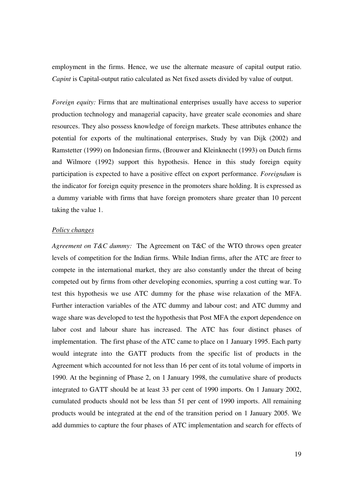employment in the firms. Hence, we use the alternate measure of capital output ratio. *Capint* is Capital-output ratio calculated as Net fixed assets divided by value of output.

*Foreign equity:* Firms that are multinational enterprises usually have access to superior production technology and managerial capacity, have greater scale economies and share resources. They also possess knowledge of foreign markets. These attributes enhance the potential for exports of the multinational enterprises, Study by van Dijk (2002) and Ramstetter (1999) on Indonesian firms, (Brouwer and Kleinknecht (1993) on Dutch firms and Wilmore (1992) support this hypothesis. Hence in this study foreign equity participation is expected to have a positive effect on export performance. *Foreigndum* is the indicator for foreign equity presence in the promoters share holding. It is expressed as a dummy variable with firms that have foreign promoters share greater than 10 percent taking the value 1.

#### *Policy changes*

*Agreement on T&C dummy:* The Agreement on T&C of the WTO throws open greater levels of competition for the Indian firms. While Indian firms, after the ATC are freer to compete in the international market, they are also constantly under the threat of being competed out by firms from other developing economies, spurring a cost cutting war. To test this hypothesis we use ATC dummy for the phase wise relaxation of the MFA. Further interaction variables of the ATC dummy and labour cost; and ATC dummy and wage share was developed to test the hypothesis that Post MFA the export dependence on labor cost and labour share has increased. The ATC has four distinct phases of implementation. The first phase of the ATC came to place on 1 January 1995. Each party would integrate into the GATT products from the specific list of products in the Agreement which accounted for not less than 16 per cent of its total volume of imports in 1990. At the beginning of Phase 2, on 1 January 1998, the cumulative share of products integrated to GATT should be at least 33 per cent of 1990 imports. On 1 January 2002, cumulated products should not be less than 51 per cent of 1990 imports. All remaining products would be integrated at the end of the transition period on 1 January 2005. We add dummies to capture the four phases of ATC implementation and search for effects of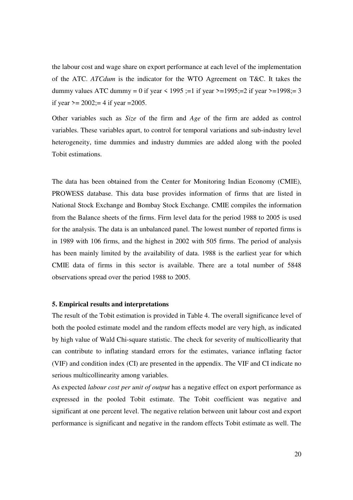the labour cost and wage share on export performance at each level of the implementation of the ATC. *ATCdum* is the indicator for the WTO Agreement on T&C. It takes the dummy values ATC dummy = 0 if year < 1995 ;=1 if year >=1995;=2 if year >=1998;=3 if year  $\ge$  = 2002;= 4 if year = 2005.

Other variables such as *Size* of the firm and *Age* of the firm are added as control variables. These variables apart, to control for temporal variations and sub-industry level heterogeneity, time dummies and industry dummies are added along with the pooled Tobit estimations.

The data has been obtained from the Center for Monitoring Indian Economy (CMIE), PROWESS database. This data base provides information of firms that are listed in National Stock Exchange and Bombay Stock Exchange. CMIE compiles the information from the Balance sheets of the firms. Firm level data for the period 1988 to 2005 is used for the analysis. The data is an unbalanced panel. The lowest number of reported firms is in 1989 with 106 firms, and the highest in 2002 with 505 firms. The period of analysis has been mainly limited by the availability of data. 1988 is the earliest year for which CMIE data of firms in this sector is available. There are a total number of 5848 observations spread over the period 1988 to 2005.

# **5. Empirical results and interpretations**

The result of the Tobit estimation is provided in Table 4. The overall significance level of both the pooled estimate model and the random effects model are very high, as indicated by high value of Wald Chi-square statistic. The check for severity of multicolliearity that can contribute to inflating standard errors for the estimates, variance inflating factor (VIF) and condition index (CI) are presented in the appendix. The VIF and CI indicate no serious multicollinearity among variables.

As expected *labour cost per unit of output* has a negative effect on export performance as expressed in the pooled Tobit estimate. The Tobit coefficient was negative and significant at one percent level. The negative relation between unit labour cost and export performance is significant and negative in the random effects Tobit estimate as well. The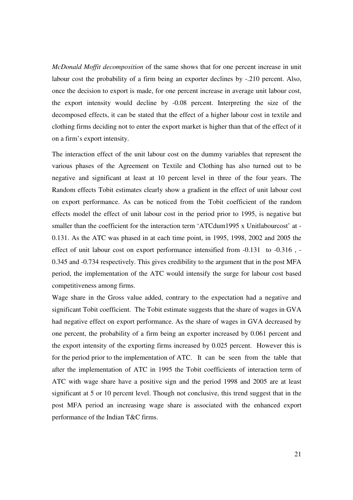*McDonald Moffit decomposition* of the same shows that for one percent increase in unit labour cost the probability of a firm being an exporter declines by -.210 percent. Also, once the decision to export is made, for one percent increase in average unit labour cost, the export intensity would decline by -0.08 percent. Interpreting the size of the decomposed effects, it can be stated that the effect of a higher labour cost in textile and clothing firms deciding not to enter the export market is higher than that of the effect of it on a firm's export intensity.

The interaction effect of the unit labour cost on the dummy variables that represent the various phases of the Agreement on Textile and Clothing has also turned out to be negative and significant at least at 10 percent level in three of the four years. The Random effects Tobit estimates clearly show a gradient in the effect of unit labour cost on export performance. As can be noticed from the Tobit coefficient of the random effects model the effect of unit labour cost in the period prior to 1995, is negative but smaller than the coefficient for the interaction term 'ATCdum1995 x Unitlabourcost' at - 0.131. As the ATC was phased in at each time point, in 1995, 1998, 2002 and 2005 the effect of unit labour cost on export performance intensified from -0.131 to -0.316 , - 0.345 and -0.734 respectively. This gives credibility to the argument that in the post MFA period, the implementation of the ATC would intensify the surge for labour cost based competitiveness among firms.

Wage share in the Gross value added, contrary to the expectation had a negative and significant Tobit coefficient. The Tobit estimate suggests that the share of wages in GVA had negative effect on export performance. As the share of wages in GVA decreased by one percent, the probability of a firm being an exporter increased by 0.061 percent and the export intensity of the exporting firms increased by 0.025 percent. However this is for the period prior to the implementation of ATC. It can be seen from the table that after the implementation of ATC in 1995 the Tobit coefficients of interaction term of ATC with wage share have a positive sign and the period 1998 and 2005 are at least significant at 5 or 10 percent level. Though not conclusive, this trend suggest that in the post MFA period an increasing wage share is associated with the enhanced export performance of the Indian T&C firms.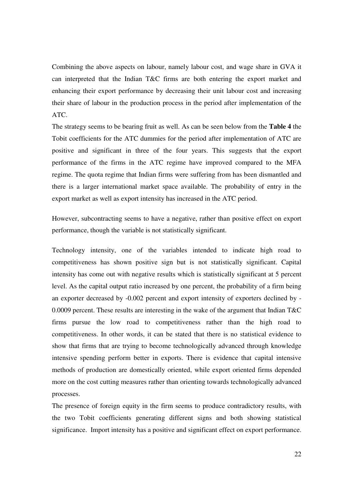Combining the above aspects on labour, namely labour cost, and wage share in GVA it can interpreted that the Indian T&C firms are both entering the export market and enhancing their export performance by decreasing their unit labour cost and increasing their share of labour in the production process in the period after implementation of the ATC.

The strategy seems to be bearing fruit as well. As can be seen below from the **Table 4** the Tobit coefficients for the ATC dummies for the period after implementation of ATC are positive and significant in three of the four years. This suggests that the export performance of the firms in the ATC regime have improved compared to the MFA regime. The quota regime that Indian firms were suffering from has been dismantled and there is a larger international market space available. The probability of entry in the export market as well as export intensity has increased in the ATC period.

However, subcontracting seems to have a negative, rather than positive effect on export performance, though the variable is not statistically significant.

Technology intensity, one of the variables intended to indicate high road to competitiveness has shown positive sign but is not statistically significant. Capital intensity has come out with negative results which is statistically significant at 5 percent level. As the capital output ratio increased by one percent, the probability of a firm being an exporter decreased by -0.002 percent and export intensity of exporters declined by - 0.0009 percent. These results are interesting in the wake of the argument that Indian T&C firms pursue the low road to competitiveness rather than the high road to competitiveness. In other words, it can be stated that there is no statistical evidence to show that firms that are trying to become technologically advanced through knowledge intensive spending perform better in exports. There is evidence that capital intensive methods of production are domestically oriented, while export oriented firms depended more on the cost cutting measures rather than orienting towards technologically advanced processes.

The presence of foreign equity in the firm seems to produce contradictory results, with the two Tobit coefficients generating different signs and both showing statistical significance. Import intensity has a positive and significant effect on export performance.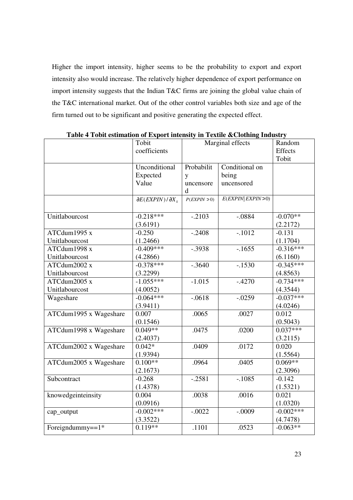Higher the import intensity, higher seems to be the probability to export and export intensity also would increase. The relatively higher dependence of export performance on import intensity suggests that the Indian T&C firms are joining the global value chain of the T&C international market. Out of the other control variables both size and age of the firm turned out to be significant and positive generating the expected effect.

|                        | Tobit                            | Marginal effects |                     | Random      |
|------------------------|----------------------------------|------------------|---------------------|-------------|
|                        | coefficients                     |                  |                     | Effects     |
|                        |                                  |                  |                     | Tobit       |
|                        | Unconditional                    | Probabilit       | Conditional on      |             |
|                        | Expected                         | y                | being               |             |
|                        | Value                            | uncensore        | uncensored          |             |
|                        |                                  | <sub>d</sub>     |                     |             |
|                        | $\partial E(EXPIN)/\partial X_k$ | P(EXPIN > 0)     | E(EXPIN  EXPIN > 0) |             |
|                        |                                  |                  |                     |             |
| Unitlabourcost         | $-0.218***$                      | $-.2103$         | $-.0884$            | $-0.070**$  |
|                        | (3.6191)                         |                  |                     | (2.2172)    |
| ATCdum1995 x           | $-0.250$                         | $-.2408$         | $-.1012$            | $-0.131$    |
| Unitlabourcost         | (1.2466)                         |                  |                     | (1.1704)    |
| ATCdum1998 x           | $-0.409***$                      | $-.3938$         | $-.1655$            | $-0.316***$ |
| Unitlabourcost         | (4.2866)                         |                  |                     | (6.1160)    |
| ATCdum2002 x           | $-0.378***$                      | $-.3640$         | $-.1530$            | $-0.345***$ |
| Unitlabourcost         | (3.2299)                         |                  |                     | (4.8563)    |
| ATCdum2005 x           | $-1.055***$                      | $-1.015$         | $-.4270$            | $-0.734***$ |
| Unitlabourcost         | (4.0052)                         |                  |                     | (4.3544)    |
| Wageshare              | $-0.064***$                      | $-0618$          | $-.0259$            | $-0.037***$ |
|                        | (3.9411)                         |                  |                     | (4.0246)    |
| ATCdum1995 x Wageshare | 0.007                            | .0065            | .0027               | 0.012       |
|                        | (0.1546)                         |                  |                     | (0.5043)    |
| ATCdum1998 x Wageshare | $0.049**$                        | .0475            | .0200               | $0.037***$  |
|                        | (2.4037)                         |                  |                     | (3.2115)    |
| ATCdum2002 x Wageshare | $0.042*$                         | .0409            | .0172               | 0.020       |
|                        | (1.9394)                         |                  |                     | (1.5564)    |
| ATCdum2005 x Wageshare | $0.100**$                        | .0964            | .0405               | $0.069**$   |
|                        | (2.1673)                         |                  |                     | (2.3096)    |
| Subcontract            | $-0.268$                         | $-.2581$         | $-.1085$            | $-0.142$    |
|                        | (1.4378)                         |                  |                     | (1.5321)    |
| knowedgeinteinsity     | 0.004                            | .0038            | .0016               | 0.021       |
|                        | (0.0916)                         |                  |                     | (1.0320)    |
| cap_output             | $-0.002***$                      | $-.0022$         | $-.0009$            | $-0.002***$ |
|                        | (3.3522)                         |                  |                     | (4.7478)    |
| Foreigndummy== $1*$    | $0.119**$                        | .1101            | .0523               | $-0.063**$  |

**Table 4 Tobit estimation of Export intensity in Textile &Clothing Industry**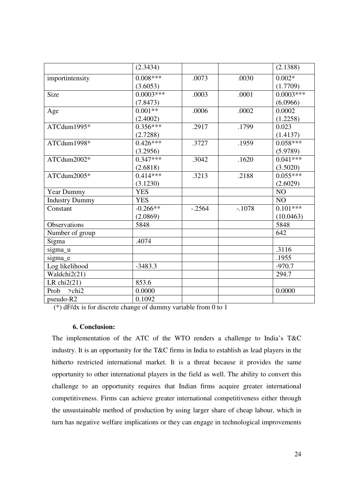|                       | (2.3434)    |          |          | (2.1388)    |
|-----------------------|-------------|----------|----------|-------------|
| importintensity       | $0.008***$  | .0073    | .0030    | $0.002*$    |
|                       | (3.6053)    |          |          | (1.7709)    |
| Size                  | $0.0003***$ | .0003    | .0001    | $0.0003***$ |
|                       | (7.8473)    |          |          | (6.0966)    |
| Age                   | $0.001**$   | .0006    | .0002    | 0.0002      |
|                       | (2.4002)    |          |          | (1.2258)    |
| ATCdum1995*           | $0.356***$  | .2917    | .1799    | 0.023       |
|                       | (2.7288)    |          |          | (1.4137)    |
| ATCdum1998*           | $0.426***$  | .3727    | .1959    | $0.058***$  |
|                       | (3.2956)    |          |          | (5.9789)    |
| ATCdum2002*           | $0.347***$  | .3042    | .1620    | $0.041***$  |
|                       | (2.6818)    |          |          | (3.5020)    |
| ATCdum2005*           | $0.414***$  | .3213    | .2188    | $0.055***$  |
|                       | (3.1230)    |          |          | (2.6029)    |
| Year Dummy            | <b>YES</b>  |          |          | NO          |
| <b>Industry Dummy</b> | <b>YES</b>  |          |          | NO          |
| Constant              | $-0.266**$  | $-.2564$ | $-.1078$ | $0.101***$  |
|                       | (2.0869)    |          |          | (10.0463)   |
| <b>Observations</b>   | 5848        |          |          | 5848        |
| Number of group       |             |          |          | 642         |
| Sigma                 | .4074       |          |          |             |
| sigma_u               |             |          |          | .3116       |
| sigma_e               |             |          |          | .1955       |
| Log likelihood        | $-3483.3$   |          |          | $-970.7$    |
| Waldchi2(21)          |             |          |          | 294.7       |
| LR $chi2(21)$         | 853.6       |          |          |             |
| Prob<br>$>$ chi2      | 0.0000      |          |          | 0.0000      |
| pseudo-R2             | 0.1092      |          |          |             |

(\*) dF/dx is for discrete change of dummy variable from 0 to 1

# **6. Conclusion:**

The implementation of the ATC of the WTO renders a challenge to India's T&C industry. It is an opportunity for the T&C firms in India to establish as lead players in the hitherto restricted international market. It is a threat because it provides the same opportunity to other international players in the field as well. The ability to convert this challenge to an opportunity requires that Indian firms acquire greater international competitiveness. Firms can achieve greater international competitiveness either through the unsustainable method of production by using larger share of cheap labour, which in turn has negative welfare implications or they can engage in technological improvements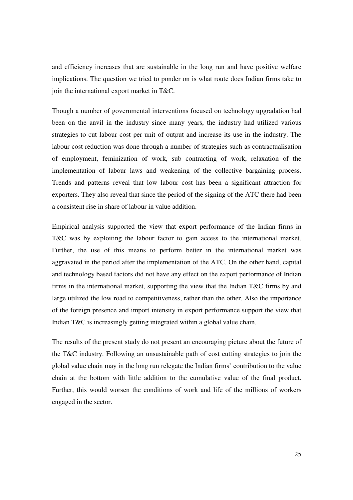and efficiency increases that are sustainable in the long run and have positive welfare implications. The question we tried to ponder on is what route does Indian firms take to join the international export market in T&C.

Though a number of governmental interventions focused on technology upgradation had been on the anvil in the industry since many years, the industry had utilized various strategies to cut labour cost per unit of output and increase its use in the industry. The labour cost reduction was done through a number of strategies such as contractualisation of employment, feminization of work, sub contracting of work, relaxation of the implementation of labour laws and weakening of the collective bargaining process. Trends and patterns reveal that low labour cost has been a significant attraction for exporters. They also reveal that since the period of the signing of the ATC there had been a consistent rise in share of labour in value addition.

Empirical analysis supported the view that export performance of the Indian firms in T&C was by exploiting the labour factor to gain access to the international market. Further, the use of this means to perform better in the international market was aggravated in the period after the implementation of the ATC. On the other hand, capital and technology based factors did not have any effect on the export performance of Indian firms in the international market, supporting the view that the Indian T&C firms by and large utilized the low road to competitiveness, rather than the other. Also the importance of the foreign presence and import intensity in export performance support the view that Indian T&C is increasingly getting integrated within a global value chain.

The results of the present study do not present an encouraging picture about the future of the T&C industry. Following an unsustainable path of cost cutting strategies to join the global value chain may in the long run relegate the Indian firms' contribution to the value chain at the bottom with little addition to the cumulative value of the final product. Further, this would worsen the conditions of work and life of the millions of workers engaged in the sector.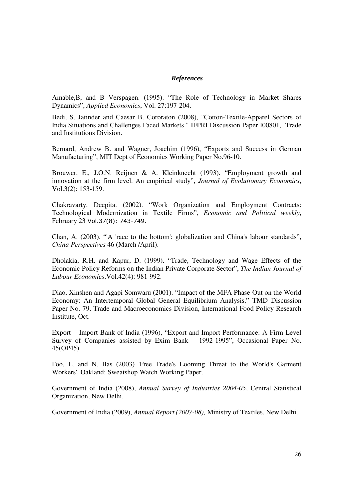# *References*

Amable,B, and B Verspagen. (1995). "The Role of Technology in Market Shares Dynamics", *Applied Economics*, Vol. 27:197-204.

Bedi, S. Jatinder and Caesar B. Cororaton (2008), "Cotton-Textile-Apparel Sectors of India Situations and Challenges Faced Markets " IFPRI Discussion Paper I00801, Trade and Institutions Division.

Bernard, Andrew B. and Wagner, Joachim (1996), "Exports and Success in German Manufacturing", MIT Dept of Economics Working Paper No.96-10.

Brouwer, E., J.O.N. Reijnen & A. Kleinknecht (1993). "Employment growth and innovation at the firm level. An empirical study", *Journal of Evolutionary Economics*, Vol.3(2): 153-159.

Chakravarty, Deepita. (2002). "Work Organization and Employment Contracts: Technological Modernization in Textile Firms", *Economic and Political weekly*, February 23 Vol.37(8): 743-749.

Chan, A. (2003). "'A 'race to the bottom': globalization and China's labour standards", *China Perspectives* 46 (March /April).

Dholakia, R.H. and Kapur, D. (1999). "Trade, Technology and Wage Effects of the Economic Policy Reforms on the Indian Private Corporate Sector", *The Indian Journal of Labour Economics*,Vol.42(4): 981-992.

Diao, Xinshen and Agapi Somwaru (2001). "Impact of the MFA Phase-Out on the World Economy: An Intertemporal Global General Equilibrium Analysis," TMD Discussion Paper No. 79, Trade and Macroeconomics Division, International Food Policy Research Institute, Oct.

Export – Import Bank of India (1996), "Export and Import Performance: A Firm Level Survey of Companies assisted by Exim Bank – 1992-1995", Occasional Paper No. 45(OP45).

Foo, L. and N. Bas (2003) 'Free Trade's Looming Threat to the World's Garment Workers', Oakland: Sweatshop Watch Working Paper.

Government of India (2008), *Annual Survey of Industries 2004-05*, Central Statistical Organization, New Delhi.

Government of India (2009), *Annual Report (2007-08),* Ministry of Textiles, New Delhi.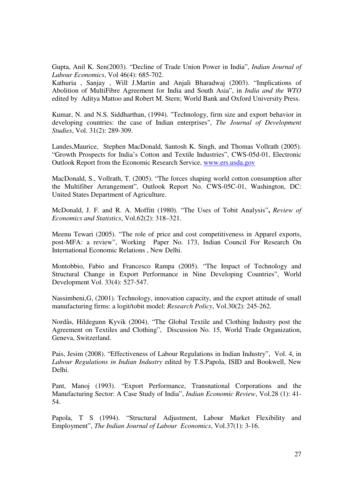Gupta, Anil K. Sen(2003). "Decline of Trade Union Power in India", *Indian Journal of Labour Economics*, Vol 46(4): 685-702.

Kathuria , Sanjay , Will J.Martin and Anjali Bharadwaj (2003). "Implications of Abolition of MultiFibre Agreement for India and South Asia", in *India and the WTO* edited by Aditya Mattoo and Robert M. Stern; World Bank and Oxford University Press.

Kumar, N. and N.S. Siddharthan, (1994). "Technology, firm size and export behavior in developing countries: the case of Indian enterprises", *The Journal of Development Studies*, Vol. 31(2): 289-309.

Landes,Maurice, Stephen MacDonald, Santosh K. Singh, and Thomas Vollrath (2005). "Growth Prospects for India's Cotton and Textile Industries", CWS-05d-01, Electronic Outlook Report from the Economic Research Service, www.ers.usda.gov

MacDonald, S., Vollrath, T. (2005). "The forces shaping world cotton consumption after the Multifiber Arrangement", Outlook Report No. CWS-05C-01, Washington, DC: United States Department of Agriculture.

McDonald, J. F. and R. A. Moffitt (1980). "The Uses of Tobit Analysis"**,** *Review of Economics and Statistics*, Vol.62(2): 318–321.

Meenu Tewari (2005). "The role of price and cost competitiveness in Apparel exports, post-MFA: a review", Working Paper No. 173, Indian Council For Research On International Economic Relations , New Delhi.

Montobbio, Fabio and Francesco Rampa (2005). "The Impact of Technology and Structural Change in Export Performance in Nine Developing Countries", World Development Vol. 33(4): 527-547.

Nassimbeni,G, (2001). Technology, innovation capacity, and the export attitude of small manufacturing firms: a logit/tobit model: *Research Policy*, Vol.30(2): 245-262.

Nordås, Hildegunn Kyvik (2004). "The Global Textile and Clothing Industry post the Agreement on Textiles and Clothing", Discussion No. 15, World Trade Organization, Geneva, Switzerland.

Pais, Jesim (2008). "Effectiveness of Labour Regulations in Indian Industry", Vol. 4, in *Labour Regulations in Indian Industry* edited by T.S.Papola, ISID and Bookwell, New Delhi.

Pant, Manoj (1993). "Export Performance, Transnational Corporations and the Manufacturing Sector: A Case Study of India", *Indian Economic Review*, Vol.28 (1): 41- 54.

Papola, T S (1994). "Structural Adjustment, Labour Market Flexibility and Employment", *The Indian Journal of Labour Economics*, Vol.37(1): 3-16.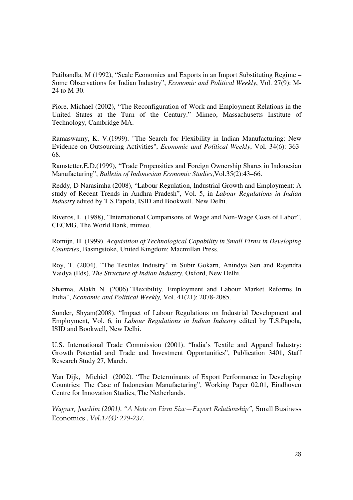Patibandla, M (1992), "Scale Economies and Exports in an Import Substituting Regime – Some Observations for Indian Industry", *Economic and Political Weekly*, Vol. 27(9): M-24 to M-30.

Piore, Michael (2002), "The Reconfiguration of Work and Employment Relations in the United States at the Turn of the Century." Mimeo, Massachusetts Institute of Technology, Cambridge MA.

Ramaswamy, K. V.(1999). "The Search for Flexibility in Indian Manufacturing: New Evidence on Outsourcing Activities", *Economic and Political Weekly*, Vol. 34(6): 363- 68.

Ramstetter,E.D.(1999), "Trade Propensities and Foreign Ownership Shares in Indonesian Manufacturing", *Bulletin of Indonesian Economic Studies*,Vol.35(2):43–66.

Reddy, D Narasimha (2008), "Labour Regulation, Industrial Growth and Employment: A study of Recent Trends in Andhra Pradesh", Vol. 5, in *Labour Regulations in Indian Industry* edited by T.S.Papola, ISID and Bookwell, New Delhi.

Riveros, L. (1988), "International Comparisons of Wage and Non-Wage Costs of Labor", CECMG, The World Bank, mimeo.

Romijn, H. (1999). *Acquisition of Technological Capability in Small Firms in Developing Countries*, Basingstoke, United Kingdom: Macmillan Press.

Roy, T. (2004). "The Textiles Industry" in Subir Gokarn, Anindya Sen and Rajendra Vaidya (Eds), *The Structure of Indian Industry*, Oxford, New Delhi.

Sharma, Alakh N. (2006)."Flexibility, Employment and Labour Market Reforms In India", *Economic and Political Weekly,* Vol. 41(21): 2078-2085.

Sunder, Shyam(2008). "Impact of Labour Regulations on Industrial Development and Employment, Vol. 6, in *Labour Regulations in Indian Industry* edited by T.S.Papola, ISID and Bookwell, New Delhi.

U.S. International Trade Commission (2001). "India's Textile and Apparel Industry: Growth Potential and Trade and Investment Opportunities", Publication 3401, Staff Research Study 27, March.

Van Dijk, Michiel (2002). "The Determinants of Export Performance in Developing Countries: The Case of Indonesian Manufacturing", Working Paper 02.01, Eindhoven Centre for Innovation Studies, The Netherlands.

*Wagner, Joachim (2001). "A Note on Firm Size—Export Relationship", Small Business* Economics *, Vol.17(4): 229-237.*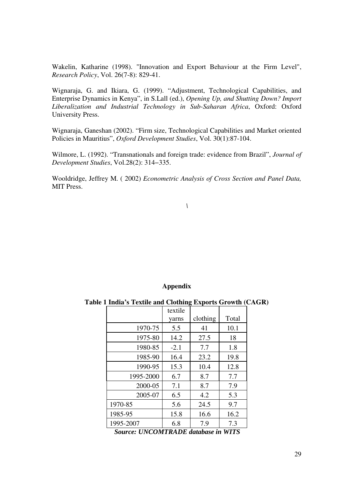Wakelin, Katharine (1998). "Innovation and Export Behaviour at the Firm Level", *Research Policy*, Vol. 26(7-8): 829-41.

Wignaraja, G. and Ikiara, G. (1999). "Adjustment, Technological Capabilities, and Enterprise Dynamics in Kenya", in S.Lall (ed.), *Opening Up, and Shutting Down? Import Liberalization and Industrial Technology in Sub-Saharan Africa*, Oxford: Oxford University Press.

Wignaraja, Ganeshan (2002). "Firm size, Technological Capabilities and Market oriented Policies in Mauritius", *Oxford Development Studies*, Vol. 30(1):87-104.

Wilmore, L. (1992). "Transnationals and foreign trade: evidence from Brazil", *Journal of Development Studies*, Vol.28(2): 314−335.

Wooldridge, Jeffrey M. ( 2002) *Econometric Analysis of Cross Section and Panel Data,* MIT Press.

# *\*

#### **Appendix**

**Table 1 India's Textile and Clothing Exports Growth (CAGR)** 

|           | textile |          |       |
|-----------|---------|----------|-------|
|           | yarns   | clothing | Total |
| 1970-75   | 5.5     | 41       | 10.1  |
| 1975-80   | 14.2    | 27.5     | 18    |
| 1980-85   | $-2.1$  | 7.7      | 1.8   |
| 1985-90   | 16.4    | 23.2     | 19.8  |
| 1990-95   | 15.3    | 10.4     | 12.8  |
| 1995-2000 | 6.7     | 8.7      | 7.7   |
| 2000-05   | 7.1     | 8.7      | 7.9   |
| 2005-07   | 6.5     | 4.2      | 5.3   |
| 1970-85   | 5.6     | 24.5     | 9.7   |
| 1985-95   | 15.8    | 16.6     | 16.2  |
| 1995-2007 | 6.8     | 7.9      | 7.3   |

*Source: UNCOMTRADE database in WITS*